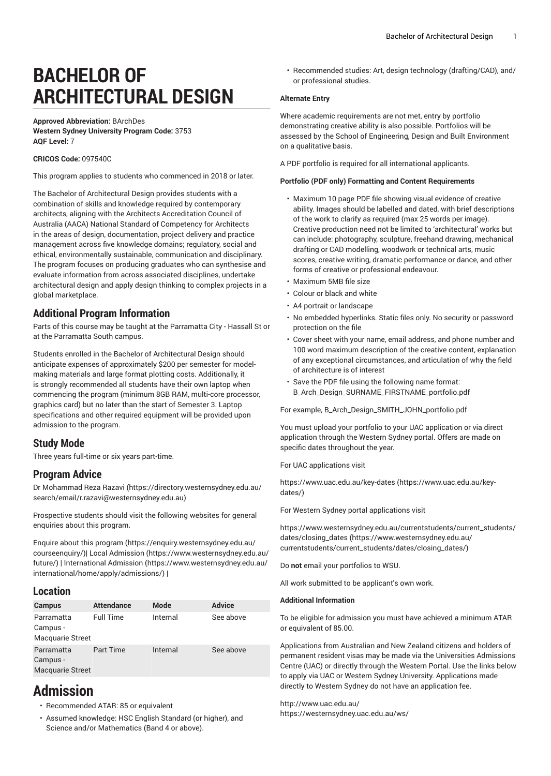# **BACHELOR OF ARCHITECTURAL DESIGN**

#### **Approved Abbreviation:** BArchDes **Western Sydney University Program Code:** 3753 **AQF Level:** 7

#### **CRICOS Code:** 097540C

This program applies to students who commenced in 2018 or later.

The Bachelor of Architectural Design provides students with a combination of skills and knowledge required by contemporary architects, aligning with the Architects Accreditation Council of Australia (AACA) National Standard of Competency for Architects in the areas of design, documentation, project delivery and practice management across five knowledge domains; regulatory, social and ethical, environmentally sustainable, communication and disciplinary. The program focuses on producing graduates who can synthesise and evaluate information from across associated disciplines, undertake architectural design and apply design thinking to complex projects in a global marketplace.

# **Additional Program Information**

Parts of this course may be taught at the Parramatta City - Hassall St or at the Parramatta South campus.

Students enrolled in the Bachelor of Architectural Design should anticipate expenses of approximately \$200 per semester for modelmaking materials and large format plotting costs. Additionally, it is strongly recommended all students have their own laptop when commencing the program (minimum 8GB RAM, multi-core processor, graphics card) but no later than the start of Semester 3. Laptop specifications and other required equipment will be provided upon admission to the program.

# **Study Mode**

Three years full-time or six years part-time.

# **Program Advice**

Dr [Mohammad](https://directory.westernsydney.edu.au/search/email/r.razavi@westernsydney.edu.au) Reza Razavi ([https://directory.westernsydney.edu.au/](https://directory.westernsydney.edu.au/search/email/r.razavi@westernsydney.edu.au) [search/email/r.razavi@westernsydney.edu.au](https://directory.westernsydney.edu.au/search/email/r.razavi@westernsydney.edu.au))

Prospective students should visit the following websites for general enquiries about this program.

Enquire about this [program \(https://enquiry.westernsydney.edu.au/](https://enquiry.westernsydney.edu.au/courseenquiry/) [courseenquiry/](https://enquiry.westernsydney.edu.au/courseenquiry/))| [Local Admission \(https://www.westernsydney.edu.au/](https://www.westernsydney.edu.au/future/) [future/\)](https://www.westernsydney.edu.au/future/) | [International Admission](https://www.westernsydney.edu.au/international/home/apply/admissions/) ([https://www.westernsydney.edu.au/](https://www.westernsydney.edu.au/international/home/apply/admissions/) [international/home/apply/admissions/](https://www.westernsydney.edu.au/international/home/apply/admissions/)) |

# **Location**

| <b>Campus</b>                                     | <b>Attendance</b> | Mode     | <b>Advice</b> |
|---------------------------------------------------|-------------------|----------|---------------|
| Parramatta<br>Campus -<br>Macquarie Street        | <b>Full Time</b>  | Internal | See above     |
| Parramatta<br>Campus -<br><b>Macquarie Street</b> | Part Time         | Internal | See above     |

# **Admission**

- Recommended ATAR: 85 or equivalent
- Assumed knowledge: HSC English Standard (or higher), and Science and/or Mathematics (Band 4 or above).

• Recommended studies: Art, design technology (drafting/CAD), and/ or professional studies.

#### **Alternate Entry**

Where academic requirements are not met, entry by portfolio demonstrating creative ability is also possible. Portfolios will be assessed by the School of Engineering, Design and Built Environment on a qualitative basis.

A PDF portfolio is required for all international applicants.

#### **Portfolio (PDF only) Formatting and Content Requirements**

- Maximum 10 page PDF file showing visual evidence of creative ability. Images should be labelled and dated, with brief descriptions of the work to clarify as required (max 25 words per image). Creative production need not be limited to 'architectural' works but can include: photography, sculpture, freehand drawing, mechanical drafting or CAD modelling, woodwork or technical arts, music scores, creative writing, dramatic performance or dance, and other forms of creative or professional endeavour.
- Maximum 5MB file size
- Colour or black and white
- A4 portrait or landscape
- No embedded hyperlinks. Static files only. No security or password protection on the file
- Cover sheet with your name, email address, and phone number and 100 word maximum description of the creative content, explanation of any exceptional circumstances, and articulation of why the field of architecture is of interest
- Save the PDF file using the following name format: B\_Arch\_Design\_SURNAME\_FIRSTNAME\_portfolio.pdf

For example, B\_Arch\_Design\_SMITH\_JOHN\_portfolio.pdf

You must upload your portfolio to your UAC application or via direct application through the Western Sydney portal. Offers are made on specific dates throughout the year.

For UAC applications visit

[https://www.uac.edu.au/key-dates](https://www.uac.edu.au/key-dates/) ([https://www.uac.edu.au/key](https://www.uac.edu.au/key-dates/)[dates/\)](https://www.uac.edu.au/key-dates/)

For Western Sydney portal applications visit

[https://www.westernsydney.edu.au/currentstudents/current\\_students/](https://www.westernsydney.edu.au/currentstudents/current_students/dates/closing_dates/) [dates/closing\\_dates](https://www.westernsydney.edu.au/currentstudents/current_students/dates/closing_dates/) [\(https://www.westernsydney.edu.au/](https://www.westernsydney.edu.au/currentstudents/current_students/dates/closing_dates/) [currentstudents/current\\_students/dates/closing\\_dates/\)](https://www.westernsydney.edu.au/currentstudents/current_students/dates/closing_dates/)

Do **not** email your portfolios to WSU.

All work submitted to be applicant's own work.

#### **Additional Information**

To be eligible for admission you must have achieved a minimum ATAR or equivalent of 85.00.

Applications from Australian and New Zealand citizens and holders of permanent resident visas may be made via the Universities Admissions Centre (UAC) or directly through the Western Portal. Use the links below to apply via UAC or Western Sydney University. Applications made directly to Western Sydney do not have an application fee.

#### <http://www.uac.edu.au/>

<https://westernsydney.uac.edu.au/ws/>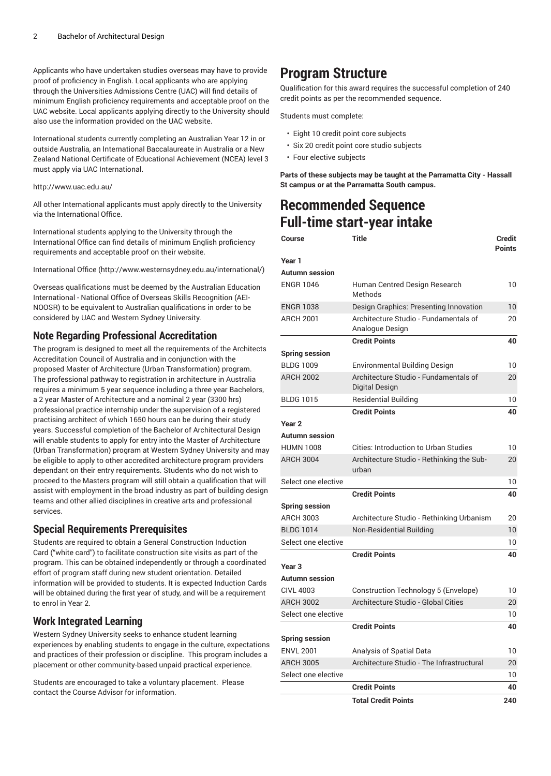Applicants who have undertaken studies overseas may have to provide proof of proficiency in English. Local applicants who are applying through the Universities Admissions Centre (UAC) will find details of minimum English proficiency requirements and acceptable proof on the UAC website. Local applicants applying directly to the University should also use the information provided on the UAC website.

International students currently completing an Australian Year 12 in or outside Australia, an International Baccalaureate in Australia or a New Zealand National Certificate of Educational Achievement (NCEA) level 3 must apply via UAC International.

#### <http://www.uac.edu.au/>

All other International applicants must apply directly to the University via the International Office.

International students applying to the University through the International Office can find details of minimum English proficiency requirements and acceptable proof on their website.

[International Office \(http://www.westernsydney.edu.au/international/\)](http://www.westernsydney.edu.au/international/)

Overseas qualifications must be deemed by the Australian Education International - National Office of Overseas Skills Recognition (AEI-NOOSR) to be equivalent to Australian qualifications in order to be considered by UAC and Western Sydney University.

# **Note Regarding Professional Accreditation**

The program is designed to meet all the requirements of the Architects Accreditation Council of Australia and in conjunction with the proposed Master of Architecture (Urban Transformation) program. The professional pathway to registration in architecture in Australia requires a minimum 5 year sequence including a three year Bachelors, a 2 year Master of Architecture and a nominal 2 year (3300 hrs) professional practice internship under the supervision of a registered practising architect of which 1650 hours can be during their study years. Successful completion of the Bachelor of Architectural Design will enable students to apply for entry into the Master of Architecture (Urban Transformation) program at Western Sydney University and may be eligible to apply to other accredited architecture program providers dependant on their entry requirements. Students who do not wish to proceed to the Masters program will still obtain a qualification that will assist with employment in the broad industry as part of building design teams and other allied disciplines in creative arts and professional services.

# **Special Requirements Prerequisites**

Students are required to obtain a General Construction Induction Card ("white card") to facilitate construction site visits as part of the program. This can be obtained independently or through a coordinated effort of program staff during new student orientation. Detailed information will be provided to students. It is expected Induction Cards will be obtained during the first year of study, and will be a requirement to enrol in Year 2.

# **Work Integrated Learning**

Western Sydney University seeks to enhance student learning experiences by enabling students to engage in the culture, expectations and practices of their profession or discipline. This program includes a placement or other community-based unpaid practical experience.

Students are encouraged to take a voluntary placement. Please contact the Course Advisor for information.

# **Program Structure**

Qualification for this award requires the successful completion of 240 credit points as per the recommended sequence.

Students must complete:

- Eight 10 credit point core subjects
- Six 20 credit point core studio subjects
- Four elective subjects

**Parts of these subjects may be taught at the Parramatta City - Hassall St campus or at the Parramatta South campus.**

# **Recommended Sequence Full-time start-year intake**

| Course                | <b>Title</b><br><b>Credit</b><br><b>Points</b>           |     |
|-----------------------|----------------------------------------------------------|-----|
| Year 1                |                                                          |     |
| Autumn session        |                                                          |     |
| <b>ENGR 1046</b>      | Human Centred Design Research<br>Methods                 |     |
| <b>ENGR 1038</b>      | Design Graphics: Presenting Innovation                   |     |
| <b>ARCH 2001</b>      | Architecture Studio - Fundamentals of<br>Analogue Design | 20  |
|                       | <b>Credit Points</b>                                     | 40  |
| <b>Spring session</b> |                                                          |     |
| <b>BLDG 1009</b>      | <b>Environmental Building Design</b>                     | 10  |
| <b>ARCH 2002</b>      | Architecture Studio - Fundamentals of<br>Digital Design  |     |
| <b>BLDG 1015</b>      | <b>Residential Building</b>                              | 10  |
|                       | <b>Credit Points</b>                                     | 40  |
| Year <sub>2</sub>     |                                                          |     |
| Autumn session        |                                                          |     |
| <b>HUMN 1008</b>      | Cities: Introduction to Urban Studies                    | 10  |
| <b>ARCH 3004</b>      | Architecture Studio - Rethinking the Sub-<br>urban       | 20  |
| Select one elective   |                                                          | 10  |
|                       | <b>Credit Points</b>                                     | 40  |
| <b>Spring session</b> |                                                          |     |
| <b>ARCH 3003</b>      | Architecture Studio - Rethinking Urbanism                | 20  |
| <b>BLDG 1014</b>      | <b>Non-Residential Building</b>                          |     |
| Select one elective   |                                                          | 10  |
|                       | <b>Credit Points</b>                                     | 40  |
| Year 3                |                                                          |     |
| <b>Autumn session</b> |                                                          |     |
| <b>CIVL 4003</b>      | Construction Technology 5 (Envelope)                     | 10  |
| <b>ARCH 3002</b>      | Architecture Studio - Global Cities                      | 20  |
| Select one elective   |                                                          | 10  |
|                       | <b>Credit Points</b>                                     | 40  |
| <b>Spring session</b> |                                                          |     |
| <b>ENVL 2001</b>      | Analysis of Spatial Data                                 | 10  |
| <b>ARCH 3005</b>      | Architecture Studio - The Infrastructural                | 20  |
| Select one elective   |                                                          | 10  |
|                       | <b>Credit Points</b>                                     | 40  |
|                       | <b>Total Credit Points</b>                               | 240 |